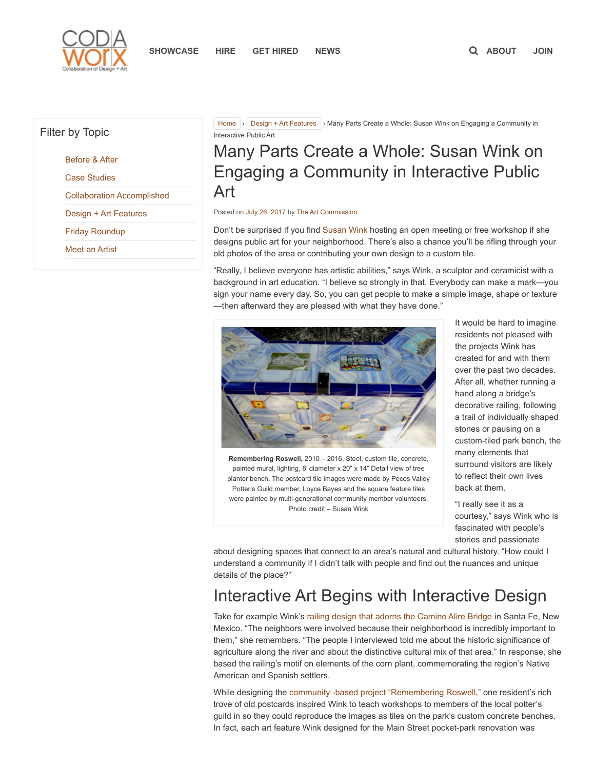

### Filter by Topic

[Before](https://www.codaworx.com/news/category/before-after/) & After

Case [Studies](https://www.codaworx.com/news/category/case-studies/)

Collaboration [Accomplished](https://www.codaworx.com/news/category/collaboration-accomplished/)

Design + Art [Features](https://www.codaworx.com/news/category/design-art-features/)

Friday [Roundup](https://www.codaworx.com/news/category/friday-roundup/)

Meet an [Artist](https://www.codaworx.com/news/category/meet-an-artist/)

[Home](https://www.codaworx.com/news/) > Design + Art [Features](https://www.codaworx.com/news/category/design-art-features/) > Many Parts Create a Whole: Susan Wink on Engaging a Community in Interactive Public Art

# Many Parts Create a Whole: Susan Wink on Engaging a Community in Interactive Public Art

#### Posted on July 26, [2017](https://www.codaworx.com/news/design-art-features/many-parts-create-whole-susan-wink-engaging-community-interactive-public-art/) by The Art [Commission](https://www.codaworx.com/news/author/tac/)

Don't be surprised if you find [Susan](http://www.susanwinkdesign.com/) Wink hosting an open meeting or free workshop if she designs public art for your neighborhood. There's also a chance you'll be rifling through your old photos of the area or contributing your own design to a custom tile.

"Really, I believe everyone has artistic abilities," says Wink, a sculptor and ceramicist with a background in art education. "I believe so strongly in that. Everybody can make a mark—you sign your name every day. So, you can get people to make a simple image, shape or texture —then afterward they are pleased with what they have done."



Remembering Roswell, 2010 – 2016, Steel, custom tile, concrete, painted mural, lighting, 8' diameter x 20" x 14" Detail view of tree planter bench. The postcard tile images were made by Pecos Valley Potter's Guild member, Loyce Bayes and the square feature tiles were painted by multi-generational community member volunteers. Photo credit – Susan Wink

It would be hard to imagine residents not pleased with the projects Wink has created for and with them over the past two decades. After all, whether running a hand along a bridge's decorative railing, following a trail of individually shaped stones or pausing on a custom-tiled park bench, the many elements that surround visitors are likely to reflect their own lives back at them.

"I really see it as a courtesy," says Wink who is fascinated with people's stories and passionate

about designing spaces that connect to an area's natural and cultural history. "How could I understand a community if I didn't talk with people and find out the nuances and unique details of the place?"

# Interactive Art Begins with Interactive Design

Take for example Wink's railing design that adorns the [Camino](http://www.susanwinkdesign.com/public-art/899) Alire Bridge in Santa Fe, New Mexico. "The neighbors were involved because their neighborhood is incredibly important to them," she remembers. "The people I interviewed told me about the historic significance of agriculture along the river and about the distinctive cultural mix of that area." In response, she based the railing's motif on elements of the corn plant, commemorating the region's Native American and Spanish settlers.

While designing the community -based project ["Remembering](http://www.susanwinkdesign.com/project-brochures) Roswell," one resident's rich trove of old postcards inspired Wink to teach workshops to members of the local potter's guild in so they could reproduce the images as tiles on the park's custom concrete benches. In fact, each art feature Wink designed for the Main Street pocket-park renovation was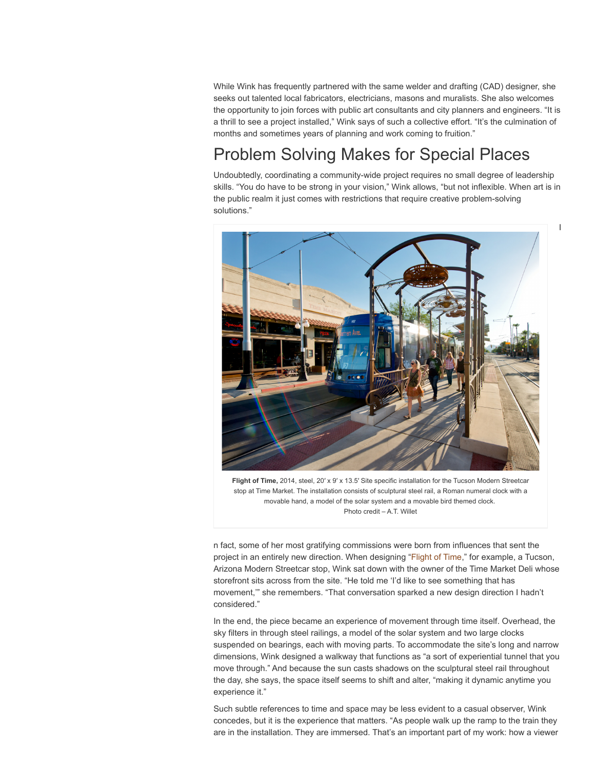While Wink has frequently partnered with the same welder and drafting (CAD) designer, she seeks out talented local fabricators, electricians, masons and muralists. She also welcomes the opportunity to join forces with public art consultants and city planners and engineers. "It is a thrill to see a project installed," Wink says of such a collective effort. "It's the culmination of months and sometimes years of planning and work coming to fruition."

# Problem Solving Makes for Special Places

Undoubtedly, coordinating a community-wide project requires no small degree of leadership skills. "You do have to be strong in your vision," Wink allows, "but not inflexible. When art is in the public realm it just comes with restrictions that require creative problem-solving solutions."

I



Flight of Time, 2014, steel, 20' x 9' x 13.5' Site specific installation for the Tucson Modern Streetcar stop at Time Market. The installation consists of sculptural steel rail, a Roman numeral clock with a movable hand, a model of the solar system and a movable bird themed clock. Photo credit – A.T. Willet

n fact, some of her most gratifying commissions were born from influences that sent the project in an entirely new direction. When designing ["Flight](http://www.susanwinkdesign.com/public-art/860) of Time," for example, a Tucson, Arizona Modern Streetcar stop, Wink sat down with the owner of the Time Market Deli whose storefront sits across from the site. "He told me 'I'd like to see something that has movement,'" she remembers. "That conversation sparked a new design direction I hadn't considered."

In the end, the piece became an experience of movement through time itself. Overhead, the sky filters in through steel railings, a model of the solar system and two large clocks suspended on bearings, each with moving parts. To accommodate the site's long and narrow dimensions, Wink designed a walkway that functions as "a sort of experiential tunnel that you move through." And because the sun casts shadows on the sculptural steel rail throughout the day, she says, the space itself seems to shift and alter, "making it dynamic anytime you experience it."

Such subtle references to time and space may be less evident to a casual observer, Wink concedes, but it is the experience that matters. "As people walk up the ramp to the train they are in the installation. They are immersed. That's an important part of my work: how a viewer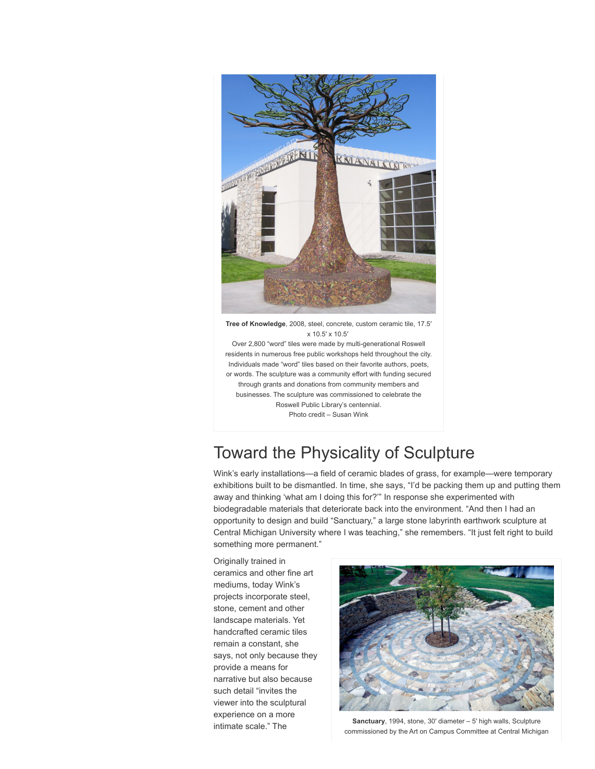

Tree of Knowledge, 2008, steel, concrete, custom ceramic tile, 17.5′ x 10.5′ x 10.5′

Over 2,800 "word" tiles were made by multi-generational Roswell residents in numerous free public workshops held throughout the city. Individuals made "word" tiles based on their favorite authors, poets, or words. The sculpture was a community effort with funding secured through grants and donations from community members and businesses. The sculpture was commissioned to celebrate the Roswell Public Library's centennial. Photo credit – Susan Wink

# Toward the Physicality of Sculpture

Wink's early installations—a field of ceramic blades of grass, for example—were temporary exhibitions built to be dismantled. In time, she says, "I'd be packing them up and putting them away and thinking 'what am I doing this for?'" In response she experimented with biodegradable materials that deteriorate back into the environment. "And then I had an opportunity to design and build "Sanctuary," a large stone labyrinth earthwork sculpture at Central Michigan University where I was teaching," she remembers. "It just felt right to build something more permanent."

Originally trained in ceramics and other fine art mediums, today Wink's projects incorporate steel, stone, cement and other landscape materials. Yet handcrafted ceramic tiles remain a constant, she says, not only because they provide a means for narrative but also because such detail "invites the viewer into the sculptural experience on a more intimate scale." The



Sanctuary, 1994, stone, 30′ diameter – 5′ high walls, Sculpture commissioned by the Art on Campus Committee at Central Michigan